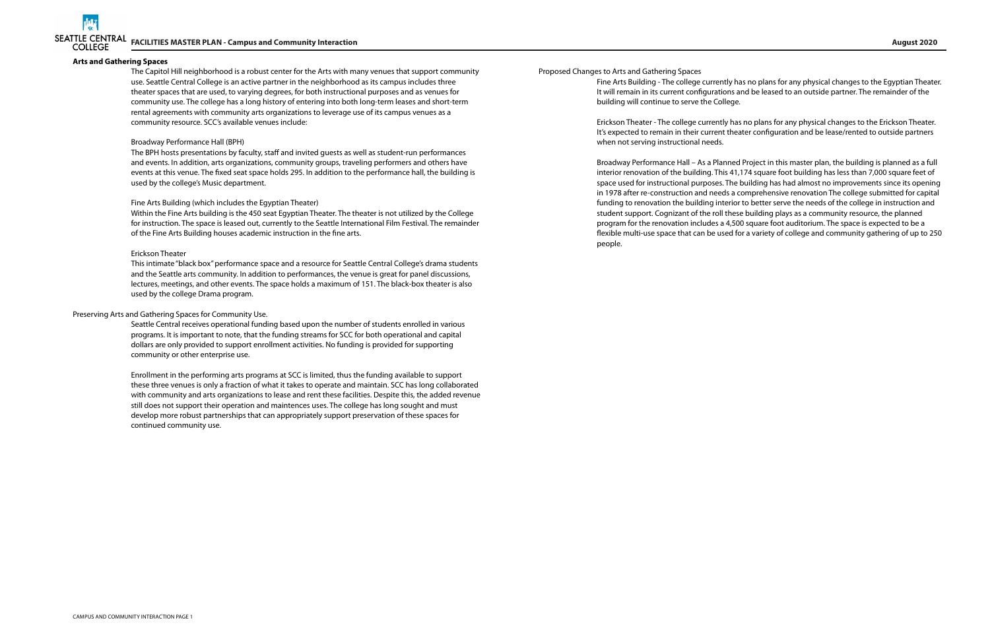

Proposed Changes to Arts and Gathering Spaces

Fine Arts Building - The college currently has no plans for any physical changes to the Egyptian Theater. It will remain in its current configurations and be leased to an outside partner. The remainder of the building will continue to serve the College.

Erickson Theater - The college currently has no plans for any physical changes to the Erickson Theater. It's expected to remain in their current theater configuration and be lease/rented to outside partners when not serving instructional needs.

Broadway Performance Hall – As a Planned Project in this master plan, the building is planned as a full interior renovation of the building. This 41,174 square foot building has less than 7,000 square feet of space used for instructional purposes. The building has had almost no improvements since its opening in 1978 after re-construction and needs a comprehensive renovation The college submitted for capital funding to renovation the building interior to better serve the needs of the college in instruction and student support. Cognizant of the roll these building plays as a community resource, the planned program for the renovation includes a 4,500 square foot auditorium. The space is expected to be a flexible multi-use space that can be used for a variety of college and community gathering of up to 250 people.

#### **Arts and Gathering Spaces**

The Capitol Hill neighborhood is a robust center for the Arts with many venues that support community use. Seattle Central College is an active partner in the neighborhood as its campus includes three theater spaces that are used, to varying degrees, for both instructional purposes and as venues for community use. The college has a long history of entering into both long-term leases and short-term rental agreements with community arts organizations to leverage use of its campus venues as a community resource. SCC's available venues include:

#### Broadway Performance Hall (BPH)

The BPH hosts presentations by faculty, staff and invited guests as well as student-run performances and events. In addition, arts organizations, community groups, traveling performers and others have events at this venue. The fixed seat space holds 295. In addition to the performance hall, the building is used by the college's Music department.

#### Fine Arts Building (which includes the Egyptian Theater)

Within the Fine Arts building is the 450 seat Egyptian Theater. The theater is not utilized by the College for instruction. The space is leased out, currently to the Seattle International Film Festival. The remainder of the Fine Arts Building houses academic instruction in the fine arts.

#### Erickson Theater

This intimate "black box" performance space and a resource for Seattle Central College's drama students and the Seattle arts community. In addition to performances, the venue is great for panel discussions, lectures, meetings, and other events. The space holds a maximum of 151. The black-box theater is also used by the college Drama program.

#### Preserving Arts and Gathering Spaces for Community Use.

Seattle Central receives operational funding based upon the number of students enrolled in various programs. It is important to note, that the funding streams for SCC for both operational and capital dollars are only provided to support enrollment activities. No funding is provided for supporting community or other enterprise use.

Enrollment in the performing arts programs at SCC is limited, thus the funding available to support these three venues is only a fraction of what it takes to operate and maintain. SCC has long collaborated with community and arts organizations to lease and rent these facilities. Despite this, the added revenue still does not support their operation and maintences uses. The college has long sought and must develop more robust partnerships that can appropriately support preservation of these spaces for continued community use.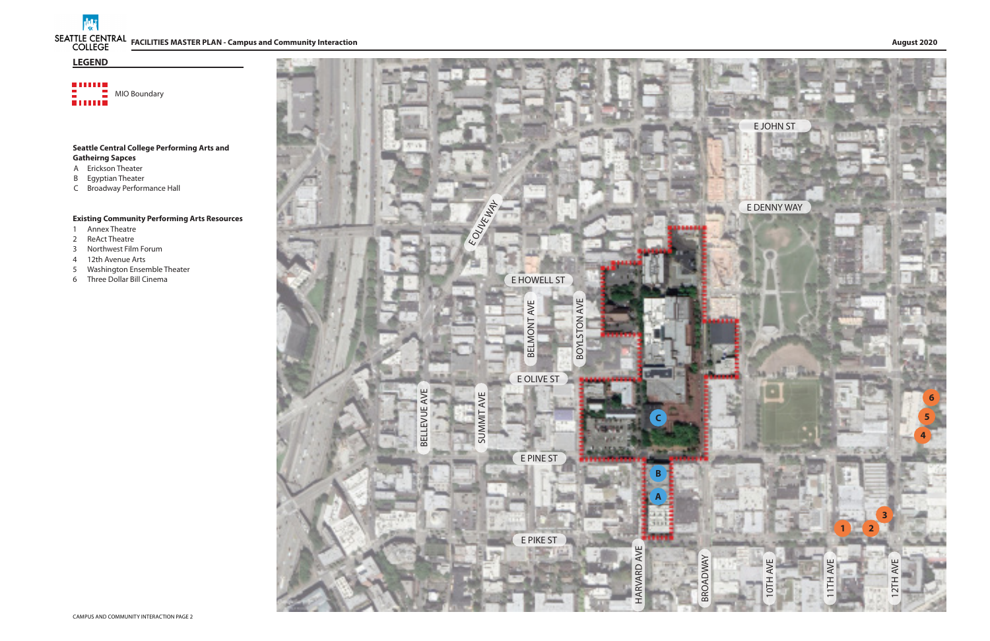**INF FACILITIES MASTER PLAN - Campus and Community Interaction August 2020**



**BUILD** Emil MIO Boundary

# **Seattle Central College Performing Arts and Gatheirng Sapces**

- A Erickson Theater
- B Egyptian Theater
- C Broadway Performance Hall

# **Existing Community Performing Arts Resources**

- 1 Annex Theatre
- 
- 2 ReAct Theatre<br>3 Northwest Film Forum
- 4 12th Avenue Arts
- 5 Washington Ensemble Theater
- 6 Three Dollar Bill Cinema

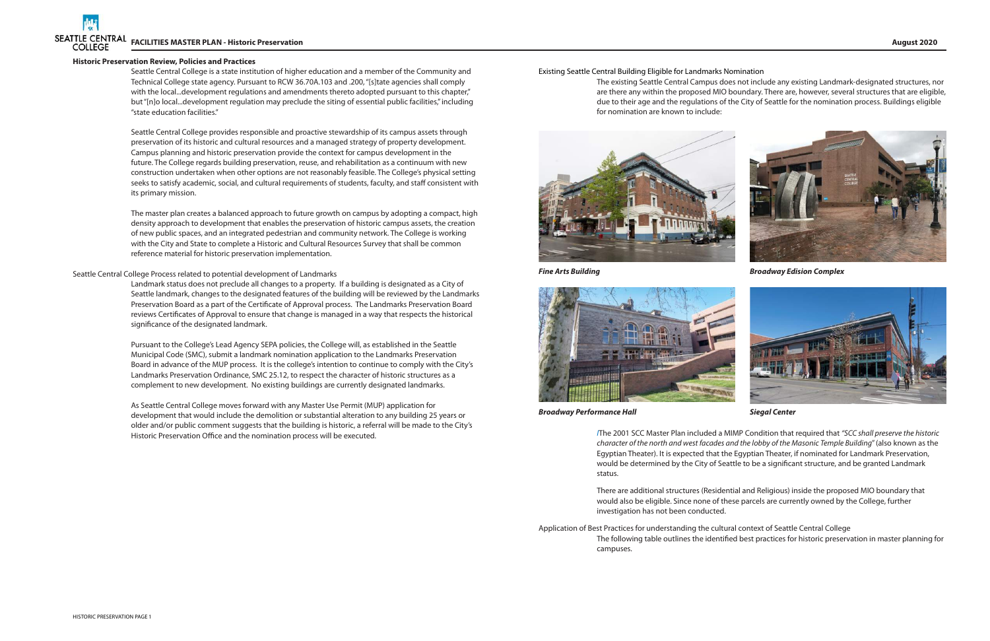#### **Historic Preservation Review, Policies and Practices**

Seattle Central College is a state institution of higher education and a member of the Community and Technical College state agency. Pursuant to RCW 36.70A.103 and .200, "[s]tate agencies shall comply with the local...development regulations and amendments thereto adopted pursuant to this chapter," but "[n]o local...development regulation may preclude the siting of essential public facilities," including "state education facilities."

Seattle Central College provides responsible and proactive stewardship of its campus assets through preservation of its historic and cultural resources and a managed strategy of property development. Campus planning and historic preservation provide the context for campus development in the future. The College regards building preservation, reuse, and rehabilitation as a continuum with new construction undertaken when other options are not reasonably feasible. The College's physical setting seeks to satisfy academic, social, and cultural requirements of students, faculty, and staff consistent with its primary mission.

The master plan creates a balanced approach to future growth on campus by adopting a compact, high density approach to development that enables the preservation of historic campus assets, the creation of new public spaces, and an integrated pedestrian and community network. The College is working with the City and State to complete a Historic and Cultural Resources Survey that shall be common reference material for historic preservation implementation.

### Seattle Central College Process related to potential development of Landmarks

Landmark status does not preclude all changes to a property. If a building is designated as a City of Seattle landmark, changes to the designated features of the building will be reviewed by the Landmarks Preservation Board as a part of the Certificate of Approval process. The Landmarks Preservation Board reviews Certificates of Approval to ensure that change is managed in a way that respects the historical significance of the designated landmark.

Pursuant to the College's Lead Agency SEPA policies, the College will, as established in the Seattle Municipal Code (SMC), submit a landmark nomination application to the Landmarks Preservation Board in advance of the MUP process. It is the college's intention to continue to comply with the City's Landmarks Preservation Ordinance, SMC 25.12, to respect the character of historic structures as a complement to new development. No existing buildings are currently designated landmarks.

As Seattle Central College moves forward with any Master Use Permit (MUP) application for development that would include the demolition or substantial alteration to any building 25 years or older and/or public comment suggests that the building is historic, a referral will be made to the City's Historic Preservation Office and the nomination process will be executed.

Existing Seattle Central Building Eligible for Landmarks Nomination The existing Seattle Central Campus does not include any existing Landmark-designated structures, nor are there any within the proposed MIO boundary. There are, however, several structures that are eligible, due to their age and the regulations of the City of Seattle for the nomination process. Buildings eligible for nomination are known to include:





*Broadway Performance Hall Siegal Center*

*Fine Arts Building Broadway Edision Complex*



*I*The 2001 SCC Master Plan included a MIMP Condition that required that *"SCC shall preserve the historic character of the north and west facades and the lobby of the Masonic Temple Building*" (also known as the Egyptian Theater). It is expected that the Egyptian Theater, if nominated for Landmark Preservation, would be determined by the City of Seattle to be a significant structure, and be granted Landmark status.

There are additional structures (Residential and Religious) inside the proposed MIO boundary that would also be eligible. Since none of these parcels are currently owned by the College, further investigation has not been conducted.

Application of Best Practices for understanding the cultural context of Seattle Central College The following table outlines the identified best practices for historic preservation in master planning for campuses.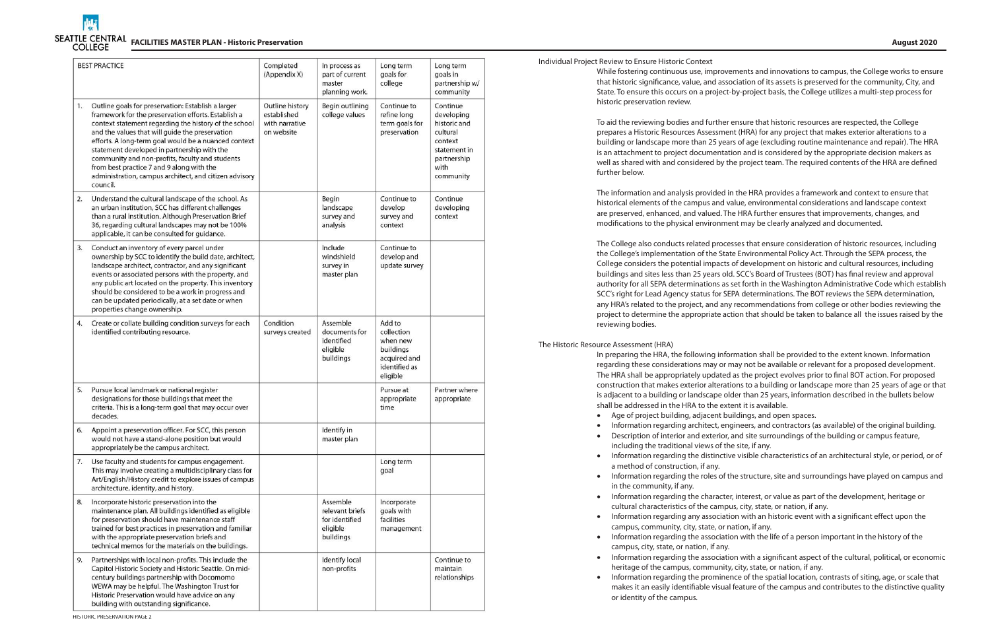

| <b>BEST PRACTICE</b> |                                                                                                                                                                                                                                                                                                                                                                                                                                                                                                    | Completed<br>(Appendix X)                                      | In process as<br>part of current<br>master<br>planning work.           | Long term<br>goals for<br>college                                                          | Long term<br>goals in<br>partnership w/<br>community                                                              |
|----------------------|----------------------------------------------------------------------------------------------------------------------------------------------------------------------------------------------------------------------------------------------------------------------------------------------------------------------------------------------------------------------------------------------------------------------------------------------------------------------------------------------------|----------------------------------------------------------------|------------------------------------------------------------------------|--------------------------------------------------------------------------------------------|-------------------------------------------------------------------------------------------------------------------|
| 1.                   | Outline goals for preservation: Establish a larger<br>framework for the preservation efforts. Establish a<br>context statement regarding the history of the school<br>and the values that will guide the preservation<br>efforts. A long-term goal would be a nuanced context<br>statement developed in partnership with the<br>community and non-profits, faculty and students<br>from best practice 7 and 9 along with the<br>administration, campus architect, and citizen advisory<br>council. | Outline history<br>established<br>with narrative<br>on website | Begin outlining<br>college values                                      | Continue to<br>refine long<br>term goals for<br>preservation                               | Continue<br>developing<br>historic and<br>cultural<br>context<br>statement in<br>partnership<br>with<br>community |
| 2.                   | Understand the cultural landscape of the school. As<br>an urban institution, SCC has different challenges<br>than a rural institution. Although Preservation Brief<br>36, regarding cultural landscapes may not be 100%<br>applicable, it can be consulted for guidance.                                                                                                                                                                                                                           |                                                                | Begin<br>landscape<br>survey and<br>analysis                           | Continue to<br>develop<br>survey and<br>context                                            | Continue<br>developing<br>context                                                                                 |
| 3.                   | Conduct an inventory of every parcel under<br>ownership by SCC to identify the build date, architect,<br>landscape architect, contractor, and any significant<br>events or associated persons with the property, and<br>any public art located on the property. This inventory<br>should be considered to be a work in progress and<br>can be updated periodically, at a set date or when<br>properties change ownership.                                                                          |                                                                | Include<br>windshield<br>survey in<br>master plan                      | Continue to<br>develop and<br>update survey                                                |                                                                                                                   |
| 4.                   | Create or collate building condition surveys for each<br>identified contributing resource.                                                                                                                                                                                                                                                                                                                                                                                                         | Condition<br>surveys created                                   | Assemble<br>documents for<br>identified<br>eligible<br>buildings       | Add to<br>collection<br>when new<br>buildings<br>acquired and<br>identified as<br>eligible |                                                                                                                   |
| 5.                   | Pursue local landmark or national register<br>designations for those buildings that meet the<br>criteria. This is a long-term goal that may occur over<br>decades.                                                                                                                                                                                                                                                                                                                                 |                                                                |                                                                        | Pursue at<br>appropriate<br>time                                                           | Partner where<br>appropriate                                                                                      |
| 6.                   | Appoint a preservation officer. For SCC, this person<br>would not have a stand-alone position but would<br>appropriately be the campus architect.                                                                                                                                                                                                                                                                                                                                                  |                                                                | Identify in<br>master plan                                             |                                                                                            |                                                                                                                   |
| 7.                   | Use faculty and students for campus engagement.<br>This may involve creating a multidisciplinary class for<br>Art/English/History credit to explore issues of campus<br>architecture, identity, and history.                                                                                                                                                                                                                                                                                       |                                                                |                                                                        | Long term<br>goal                                                                          |                                                                                                                   |
| 8.                   | Incorporate historic preservation into the<br>maintenance plan. All buildings identified as eligible<br>for preservation should have maintenance staff<br>trained for best practices in preservation and familiar<br>with the appropriate preservation briefs and<br>technical memos for the materials on the buildings.                                                                                                                                                                           |                                                                | Assemble<br>relevant briefs<br>for identified<br>eligible<br>buildings | Incorporate<br>goals with<br>facilities<br>management                                      |                                                                                                                   |
| 9.                   | Partnerships with local non-profits. This include the<br>Capitol Historic Society and Historic Seattle. On mid-<br>century buildings partnership with Docomomo<br>WEWA may be helpful. The Washington Trust for<br>Historic Preservation would have advice on any<br>building with outstanding significance.                                                                                                                                                                                       |                                                                | Identify local<br>non-profits                                          |                                                                                            | Continue to<br>maintain<br>relationships                                                                          |

HISTORIC PRESERVATION PAGE 2

Individual Project Review to Ensure Historic Context

While fostering continuous use, improvements and innovations to campus, the College works to ensure that historic significance, value, and association of its assets is preserved for the community, City, and State. To ensure this occurs on a project-by-project basis, the College utilizes a multi-step process for historic preservation review.

To aid the reviewing bodies and further ensure that historic resources are respected, the College prepares a Historic Resources Assessment (HRA) for any project that makes exterior alterations to a building or landscape more than 25 years of age (excluding routine maintenance and repair). The HRA is an attachment to project documentation and is considered by the appropriate decision makers as well as shared with and considered by the project team. The required contents of the HRA are defined further below.

The information and analysis provided in the HRA provides a framework and context to ensure that historical elements of the campus and value, environmental considerations and landscape context are preserved, enhanced, and valued. The HRA further ensures that improvements, changes, and modifications to the physical environment may be clearly analyzed and documented.

• Information regarding architect, engineers, and contractors (as available) of the original building. Description of interior and exterior, and site surroundings of the building or campus feature,

The College also conducts related processes that ensure consideration of historic resources, including the College's implementation of the State Environmental Policy Act. Through the SEPA process, the College considers the potential impacts of development on historic and cultural resources, including buildings and sites less than 25 years old. SCC's Board of Trustees (BOT) has final review and approval authority for all SEPA determinations as set forth in the Washington Administrative Code which establish SCC's right for Lead Agency status for SEPA determinations. The BOT reviews the SEPA determination, any HRA's related to the project, and any recommendations from college or other bodies reviewing the project to determine the appropriate action that should be taken to balance all the issues raised by the reviewing bodies.

• Information regarding the prominence of the spatial location, contrasts of siting, age, or scale that makes it an easily identifiable visual feature of the campus and contributes to the distinctive quality

- Age of project building, adjacent buildings, and open spaces.
- 
- including the traditional views of the site, if any.
- a method of construction, if any.
- in the community, if any.
- cultural characteristics of the campus, city, state, or nation, if any.
- campus, community, city, state, or nation, if any.
- campus, city, state, or nation, if any.
- heritage of the campus, community, city, state, or nation, if any.
- or identity of the campus.

The Historic Resource Assessment (HRA)

In preparing the HRA, the following information shall be provided to the extent known. Information regarding these considerations may or may not be available or relevant for a proposed development. The HRA shall be appropriately updated as the project evolves prior to final BOT action. For proposed construction that makes exterior alterations to a building or landscape more than 25 years of age or that is adjacent to a building or landscape older than 25 years, information described in the bullets below shall be addressed in the HRA to the extent it is available.

• Information regarding the distinctive visible characteristics of an architectural style, or period, or of

• Information regarding the roles of the structure, site and surroundings have played on campus and

• Information regarding the character, interest, or value as part of the development, heritage or

• Information regarding any association with an historic event with a significant effect upon the

• Information regarding the association with the life of a person important in the history of the

• Information regarding the association with a significant aspect of the cultural, political, or economic